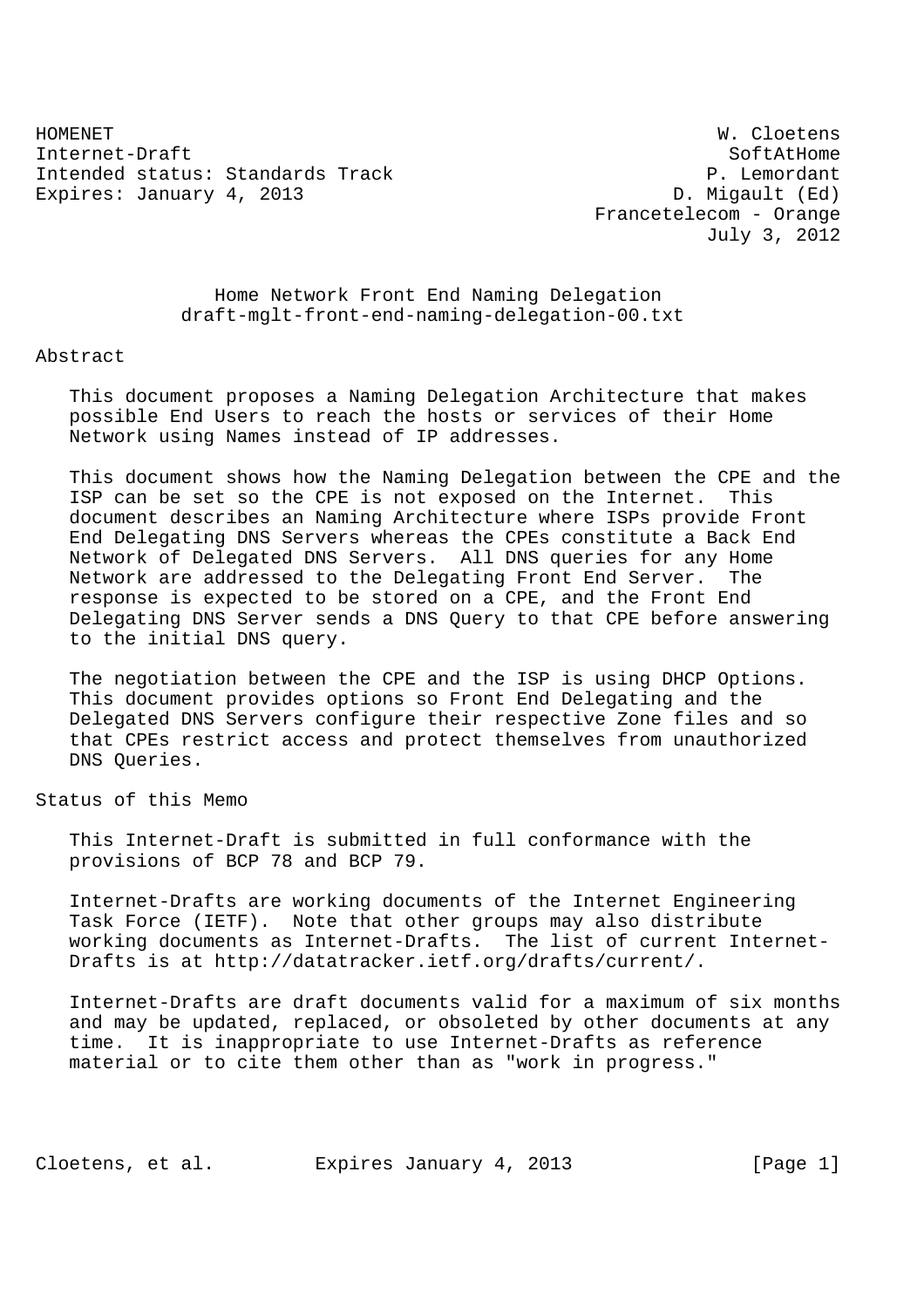HOMENET W. Cloetens Internet-Draft SoftAtHome Intended status: Standards Track P. Lemordant Expires: January 4, 2013 Channel Communication Communication D. Migault (Ed)

 Francetelecom - Orange July 3, 2012

 Home Network Front End Naming Delegation draft-mglt-front-end-naming-delegation-00.txt

Abstract

 This document proposes a Naming Delegation Architecture that makes possible End Users to reach the hosts or services of their Home Network using Names instead of IP addresses.

 This document shows how the Naming Delegation between the CPE and the ISP can be set so the CPE is not exposed on the Internet. This document describes an Naming Architecture where ISPs provide Front End Delegating DNS Servers whereas the CPEs constitute a Back End Network of Delegated DNS Servers. All DNS queries for any Home Network are addressed to the Delegating Front End Server. The response is expected to be stored on a CPE, and the Front End Delegating DNS Server sends a DNS Query to that CPE before answering to the initial DNS query.

 The negotiation between the CPE and the ISP is using DHCP Options. This document provides options so Front End Delegating and the Delegated DNS Servers configure their respective Zone files and so that CPEs restrict access and protect themselves from unauthorized DNS Queries.

Status of this Memo

 This Internet-Draft is submitted in full conformance with the provisions of BCP 78 and BCP 79.

 Internet-Drafts are working documents of the Internet Engineering Task Force (IETF). Note that other groups may also distribute working documents as Internet-Drafts. The list of current Internet- Drafts is at http://datatracker.ietf.org/drafts/current/.

 Internet-Drafts are draft documents valid for a maximum of six months and may be updated, replaced, or obsoleted by other documents at any time. It is inappropriate to use Internet-Drafts as reference material or to cite them other than as "work in progress."

Cloetens, et al. Expires January 4, 2013 [Page 1]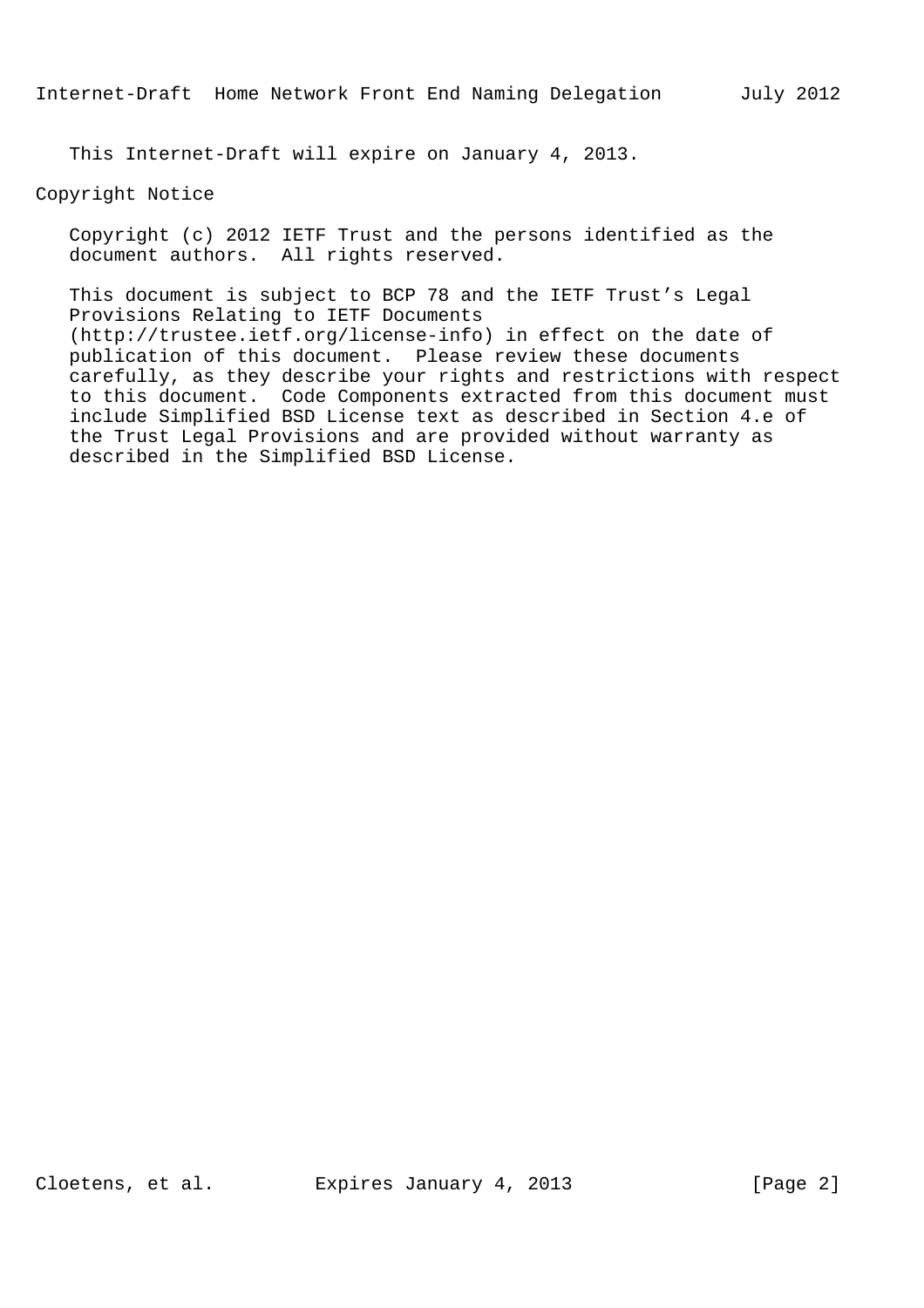This Internet-Draft will expire on January 4, 2013.

Copyright Notice

 Copyright (c) 2012 IETF Trust and the persons identified as the document authors. All rights reserved.

 This document is subject to BCP 78 and the IETF Trust's Legal Provisions Relating to IETF Documents (http://trustee.ietf.org/license-info) in effect on the date of publication of this document. Please review these documents carefully, as they describe your rights and restrictions with respect to this document. Code Components extracted from this document must include Simplified BSD License text as described in Section 4.e of the Trust Legal Provisions and are provided without warranty as described in the Simplified BSD License.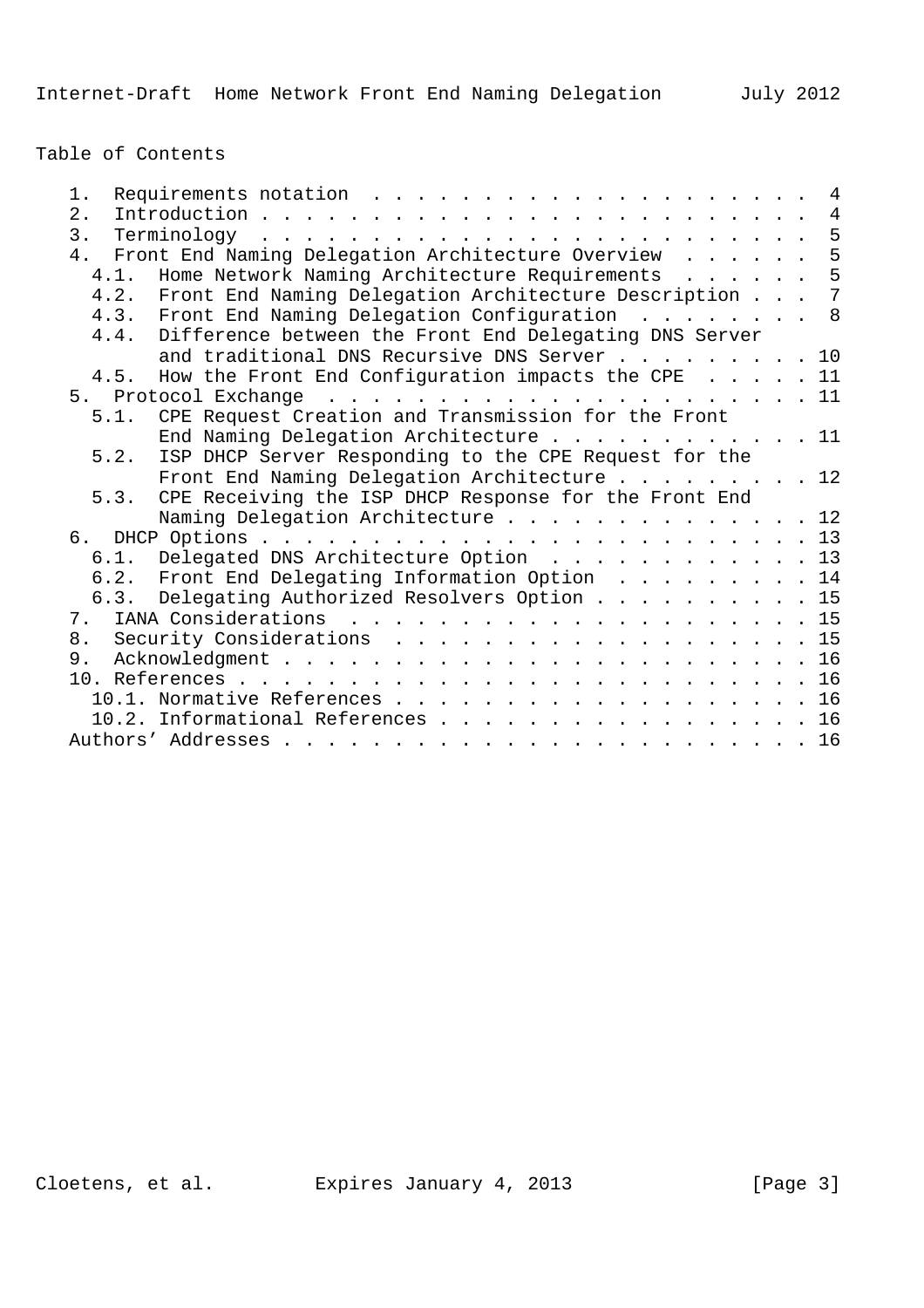Table of Contents

| 1.   |                                                             |  | 4              |
|------|-------------------------------------------------------------|--|----------------|
| 2.   |                                                             |  | $\overline{4}$ |
| 3.   |                                                             |  | 5              |
|      | 4. Front End Naming Delegation Architecture Overview        |  | 5              |
| 4.1. | Home Network Naming Architecture Requirements               |  | 5              |
|      | 4.2. Front End Naming Delegation Architecture Description 7 |  |                |
|      | 4.3. Front End Naming Delegation Configuration 8            |  |                |
|      | 4.4. Difference between the Front End Delegating DNS Server |  |                |
|      | and traditional DNS Recursive DNS Server 10                 |  |                |
|      | 4.5. How the Front End Configuration impacts the CPE 11     |  |                |
|      |                                                             |  |                |
| 5.1. | CPE Request Creation and Transmission for the Front         |  |                |
|      | End Naming Delegation Architecture 11                       |  |                |
| 5.2. | ISP DHCP Server Responding to the CPE Request for the       |  |                |
|      | Front End Naming Delegation Architecture 12                 |  |                |
| 5.3. | CPE Receiving the ISP DHCP Response for the Front End       |  |                |
|      | Naming Delegation Architecture 12                           |  |                |
|      |                                                             |  |                |
|      | 6.1. Delegated DNS Architecture Option 13                   |  |                |
|      | 6.2. Front End Delegating Information Option 14             |  |                |
| 6.3. | Delegating Authorized Resolvers Option 15                   |  |                |
|      |                                                             |  |                |
| 8.   | Security Considerations 15                                  |  |                |
| 9.   |                                                             |  |                |
|      |                                                             |  |                |
|      | 10.1. Normative References 16                               |  |                |
|      |                                                             |  |                |
|      | 10.2. Informational References 16                           |  |                |
|      |                                                             |  |                |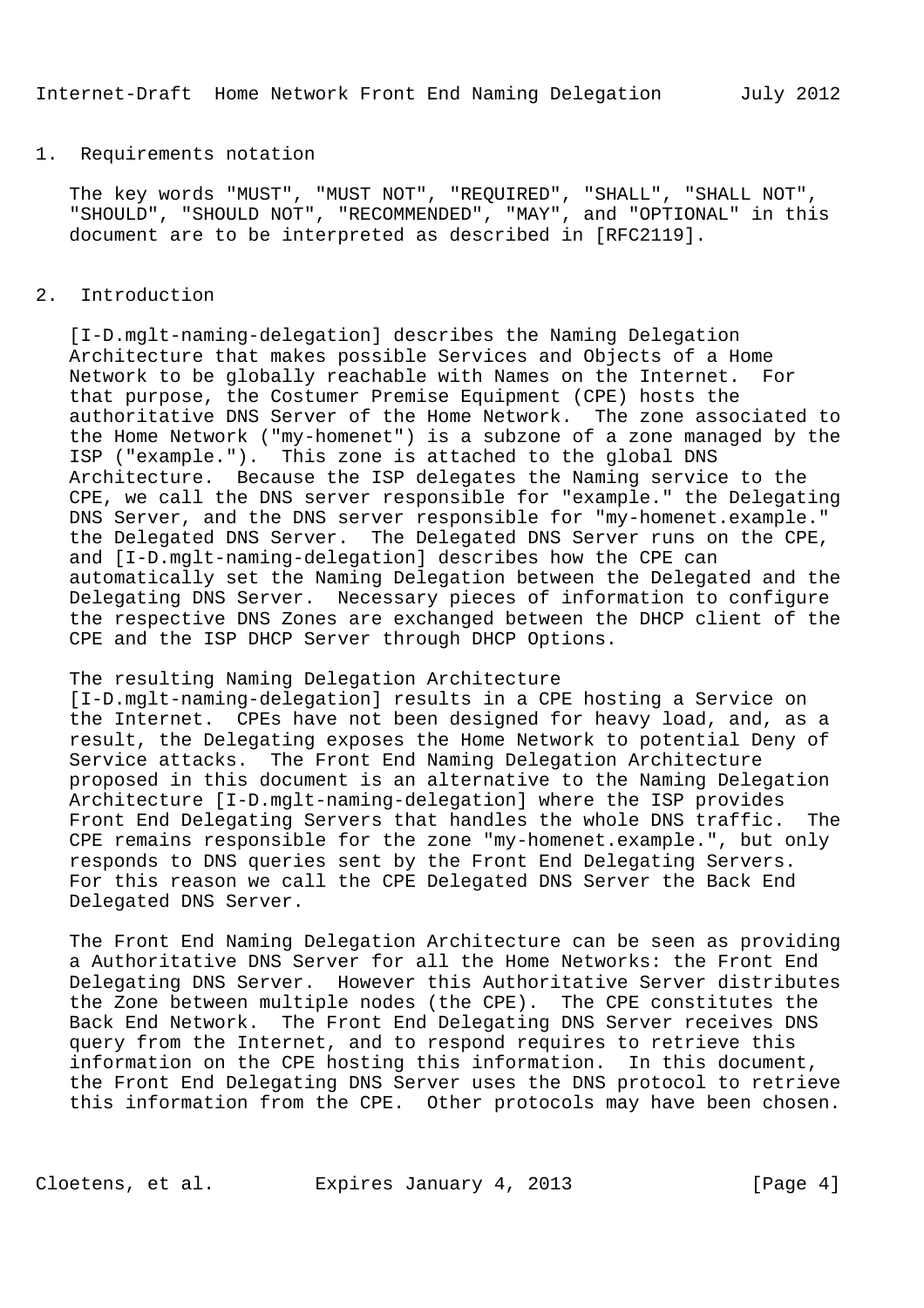### 1. Requirements notation

 The key words "MUST", "MUST NOT", "REQUIRED", "SHALL", "SHALL NOT", "SHOULD", "SHOULD NOT", "RECOMMENDED", "MAY", and "OPTIONAL" in this document are to be interpreted as described in [RFC2119].

# 2. Introduction

 [I-D.mglt-naming-delegation] describes the Naming Delegation Architecture that makes possible Services and Objects of a Home Network to be globally reachable with Names on the Internet. For that purpose, the Costumer Premise Equipment (CPE) hosts the authoritative DNS Server of the Home Network. The zone associated to the Home Network ("my-homenet") is a subzone of a zone managed by the ISP ("example."). This zone is attached to the global DNS Architecture. Because the ISP delegates the Naming service to the CPE, we call the DNS server responsible for "example." the Delegating DNS Server, and the DNS server responsible for "my-homenet.example." the Delegated DNS Server. The Delegated DNS Server runs on the CPE, and [I-D.mglt-naming-delegation] describes how the CPE can automatically set the Naming Delegation between the Delegated and the Delegating DNS Server. Necessary pieces of information to configure the respective DNS Zones are exchanged between the DHCP client of the CPE and the ISP DHCP Server through DHCP Options.

### The resulting Naming Delegation Architecture

 [I-D.mglt-naming-delegation] results in a CPE hosting a Service on the Internet. CPEs have not been designed for heavy load, and, as a result, the Delegating exposes the Home Network to potential Deny of Service attacks. The Front End Naming Delegation Architecture proposed in this document is an alternative to the Naming Delegation Architecture [I-D.mglt-naming-delegation] where the ISP provides Front End Delegating Servers that handles the whole DNS traffic. The CPE remains responsible for the zone "my-homenet.example.", but only responds to DNS queries sent by the Front End Delegating Servers. For this reason we call the CPE Delegated DNS Server the Back End Delegated DNS Server.

 The Front End Naming Delegation Architecture can be seen as providing a Authoritative DNS Server for all the Home Networks: the Front End Delegating DNS Server. However this Authoritative Server distributes the Zone between multiple nodes (the CPE). The CPE constitutes the Back End Network. The Front End Delegating DNS Server receives DNS query from the Internet, and to respond requires to retrieve this information on the CPE hosting this information. In this document, the Front End Delegating DNS Server uses the DNS protocol to retrieve this information from the CPE. Other protocols may have been chosen.

Cloetens, et al. Expires January 4, 2013 [Page 4]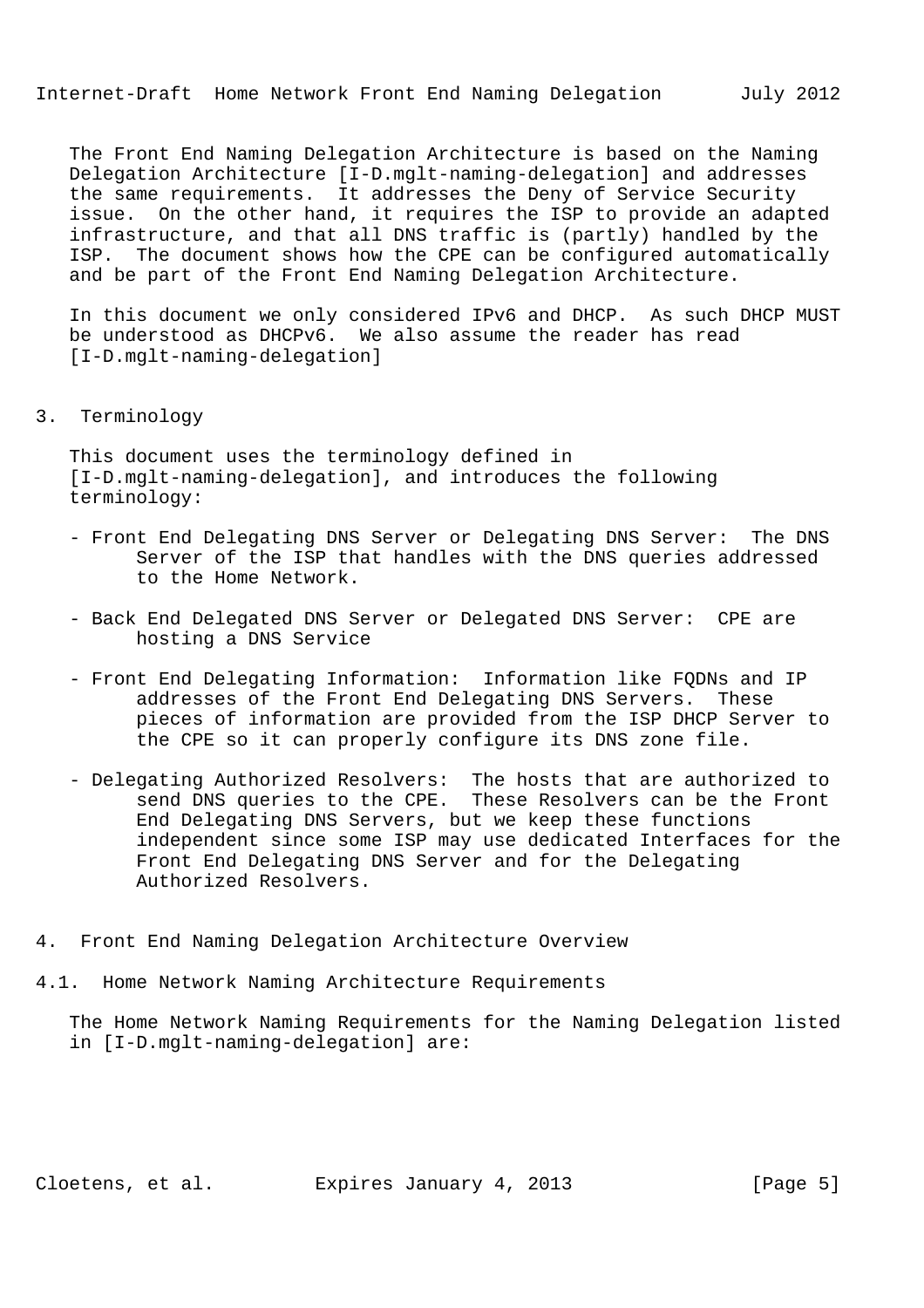The Front End Naming Delegation Architecture is based on the Naming Delegation Architecture [I-D.mglt-naming-delegation] and addresses the same requirements. It addresses the Deny of Service Security issue. On the other hand, it requires the ISP to provide an adapted infrastructure, and that all DNS traffic is (partly) handled by the ISP. The document shows how the CPE can be configured automatically and be part of the Front End Naming Delegation Architecture.

 In this document we only considered IPv6 and DHCP. As such DHCP MUST be understood as DHCPv6. We also assume the reader has read [I-D.mglt-naming-delegation]

#### 3. Terminology

 This document uses the terminology defined in [I-D.mglt-naming-delegation], and introduces the following terminology:

- Front End Delegating DNS Server or Delegating DNS Server: The DNS Server of the ISP that handles with the DNS queries addressed to the Home Network.
- Back End Delegated DNS Server or Delegated DNS Server: CPE are hosting a DNS Service
- Front End Delegating Information: Information like FQDNs and IP addresses of the Front End Delegating DNS Servers. These pieces of information are provided from the ISP DHCP Server to the CPE so it can properly configure its DNS zone file.
- Delegating Authorized Resolvers: The hosts that are authorized to send DNS queries to the CPE. These Resolvers can be the Front End Delegating DNS Servers, but we keep these functions independent since some ISP may use dedicated Interfaces for the Front End Delegating DNS Server and for the Delegating Authorized Resolvers.
- 4. Front End Naming Delegation Architecture Overview
- 4.1. Home Network Naming Architecture Requirements

 The Home Network Naming Requirements for the Naming Delegation listed in [I-D.mglt-naming-delegation] are: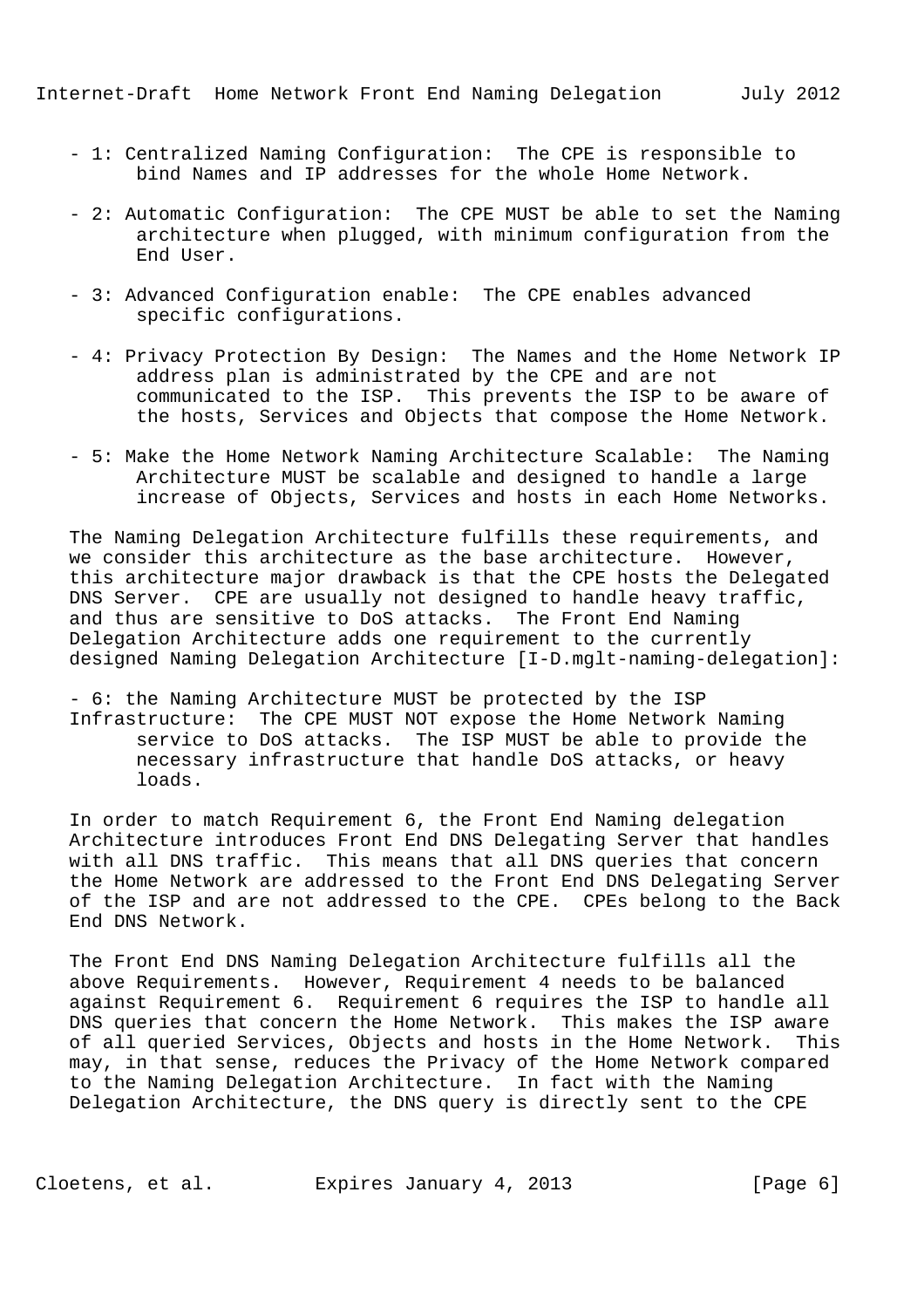- 1: Centralized Naming Configuration: The CPE is responsible to bind Names and IP addresses for the whole Home Network.
- 2: Automatic Configuration: The CPE MUST be able to set the Naming architecture when plugged, with minimum configuration from the End User.
- 3: Advanced Configuration enable: The CPE enables advanced specific configurations.
- 4: Privacy Protection By Design: The Names and the Home Network IP address plan is administrated by the CPE and are not communicated to the ISP. This prevents the ISP to be aware of the hosts, Services and Objects that compose the Home Network.
- 5: Make the Home Network Naming Architecture Scalable: The Naming Architecture MUST be scalable and designed to handle a large increase of Objects, Services and hosts in each Home Networks.

 The Naming Delegation Architecture fulfills these requirements, and we consider this architecture as the base architecture. However, this architecture major drawback is that the CPE hosts the Delegated DNS Server. CPE are usually not designed to handle heavy traffic, and thus are sensitive to DoS attacks. The Front End Naming Delegation Architecture adds one requirement to the currently designed Naming Delegation Architecture [I-D.mglt-naming-delegation]:

 - 6: the Naming Architecture MUST be protected by the ISP Infrastructure: The CPE MUST NOT expose the Home Network Naming service to DoS attacks. The ISP MUST be able to provide the necessary infrastructure that handle DoS attacks, or heavy loads.

 In order to match Requirement 6, the Front End Naming delegation Architecture introduces Front End DNS Delegating Server that handles with all DNS traffic. This means that all DNS queries that concern the Home Network are addressed to the Front End DNS Delegating Server of the ISP and are not addressed to the CPE. CPEs belong to the Back End DNS Network.

 The Front End DNS Naming Delegation Architecture fulfills all the above Requirements. However, Requirement 4 needs to be balanced against Requirement 6. Requirement 6 requires the ISP to handle all DNS queries that concern the Home Network. This makes the ISP aware of all queried Services, Objects and hosts in the Home Network. This may, in that sense, reduces the Privacy of the Home Network compared to the Naming Delegation Architecture. In fact with the Naming Delegation Architecture, the DNS query is directly sent to the CPE

Cloetens, et al. Expires January 4, 2013 [Page 6]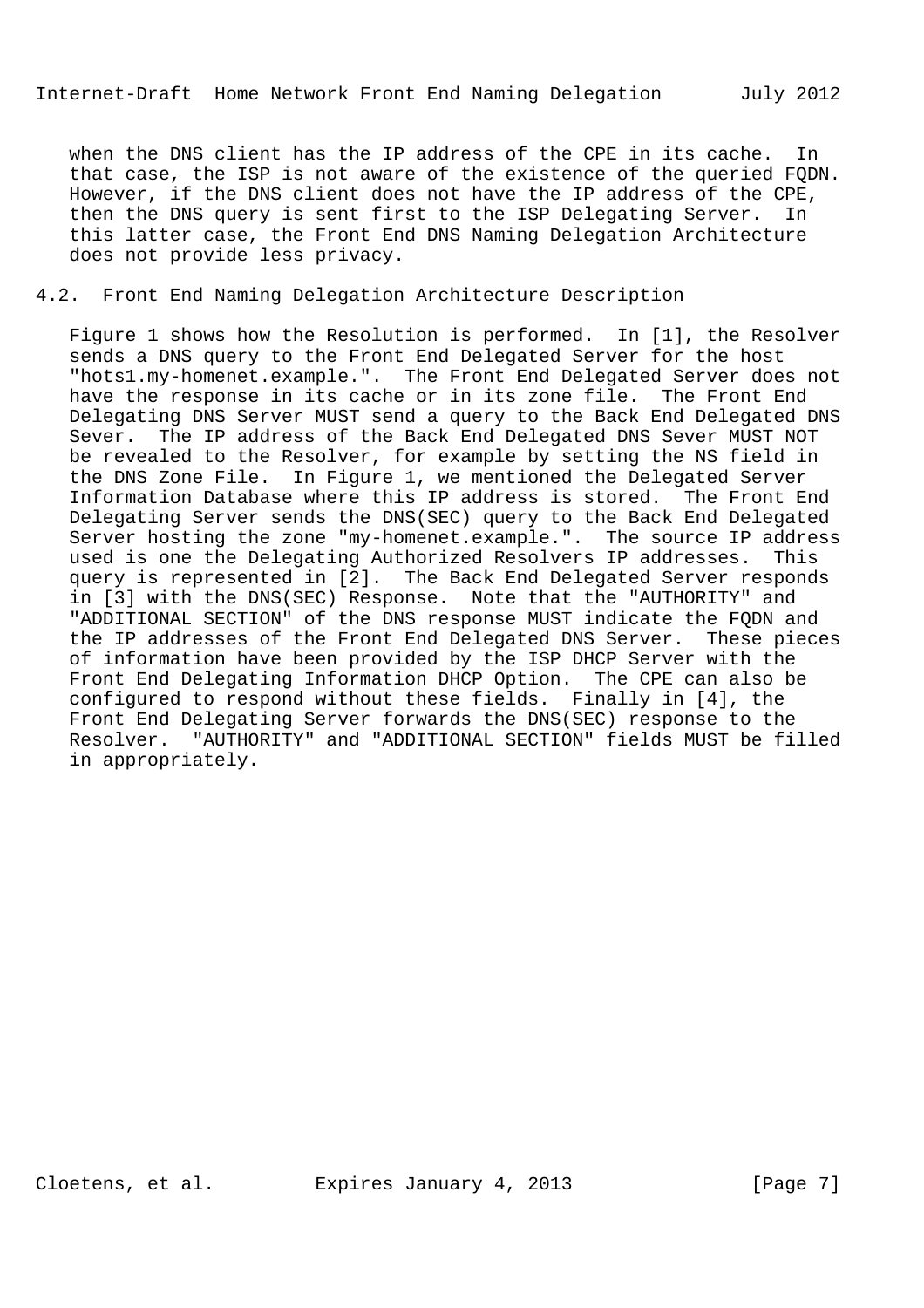when the DNS client has the IP address of the CPE in its cache. In that case, the ISP is not aware of the existence of the queried FQDN. However, if the DNS client does not have the IP address of the CPE, then the DNS query is sent first to the ISP Delegating Server. In this latter case, the Front End DNS Naming Delegation Architecture does not provide less privacy.

# 4.2. Front End Naming Delegation Architecture Description

 Figure 1 shows how the Resolution is performed. In [1], the Resolver sends a DNS query to the Front End Delegated Server for the host "hots1.my-homenet.example.". The Front End Delegated Server does not have the response in its cache or in its zone file. The Front End Delegating DNS Server MUST send a query to the Back End Delegated DNS Sever. The IP address of the Back End Delegated DNS Sever MUST NOT be revealed to the Resolver, for example by setting the NS field in the DNS Zone File. In Figure 1, we mentioned the Delegated Server Information Database where this IP address is stored. The Front End Delegating Server sends the DNS(SEC) query to the Back End Delegated Server hosting the zone "my-homenet.example.". The source IP address used is one the Delegating Authorized Resolvers IP addresses. This query is represented in [2]. The Back End Delegated Server responds in [3] with the DNS(SEC) Response. Note that the "AUTHORITY" and "ADDITIONAL SECTION" of the DNS response MUST indicate the FQDN and the IP addresses of the Front End Delegated DNS Server. These pieces of information have been provided by the ISP DHCP Server with the Front End Delegating Information DHCP Option. The CPE can also be configured to respond without these fields. Finally in [4], the Front End Delegating Server forwards the DNS(SEC) response to the Resolver. "AUTHORITY" and "ADDITIONAL SECTION" fields MUST be filled in appropriately.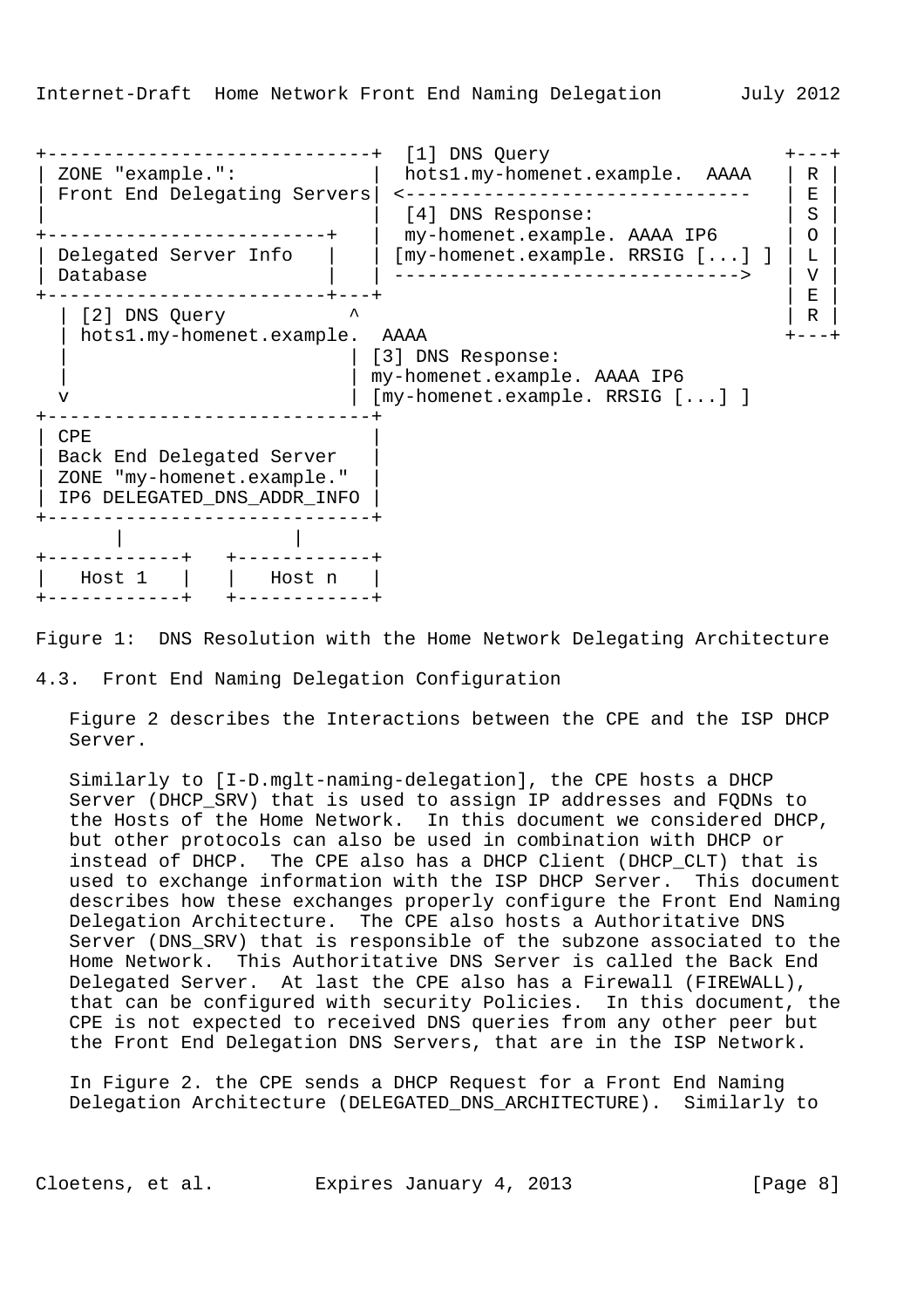+-----------------------------+ [1] DNS Query +---+ hots1.my-homenet.example. AAAA | R Front End Delegating Servers | <-------------------------------- | E | | [4] DNS Response: | S | +-------------------------+ | my-homenet.example. AAAA IP6 | O | | Delegated Server Info | | [my-homenet.example. RRSIG  $[...]$  ] | L | | Database | | -------------------------------> | V | +-------------------------+---+ | E | | [2] DNS Query  $\qquad \qquad$   $\qquad$  | R | hots1.my-homenet.example. AAAA +---+ | | [3] DNS Response: | | my-homenet.example. AAAA IP6 v | [my-homenet.example. RRSIG [...] ] +-----------------------------+  $CPE$ | Back End Delegated Server | | ZONE "my-homenet.example." | | IP6 DELEGATED\_DNS\_ADDR\_INFO | +-----------------------------+ | | +------------+ +------------+ | Host 1 | | Host n | +------------+ +------------+

Figure 1: DNS Resolution with the Home Network Delegating Architecture

4.3. Front End Naming Delegation Configuration

 Figure 2 describes the Interactions between the CPE and the ISP DHCP Server.

 Similarly to [I-D.mglt-naming-delegation], the CPE hosts a DHCP Server (DHCP\_SRV) that is used to assign IP addresses and FQDNs to the Hosts of the Home Network. In this document we considered DHCP, but other protocols can also be used in combination with DHCP or instead of DHCP. The CPE also has a DHCP Client (DHCP\_CLT) that is used to exchange information with the ISP DHCP Server. This document describes how these exchanges properly configure the Front End Naming Delegation Architecture. The CPE also hosts a Authoritative DNS Server (DNS\_SRV) that is responsible of the subzone associated to the Home Network. This Authoritative DNS Server is called the Back End Delegated Server. At last the CPE also has a Firewall (FIREWALL), that can be configured with security Policies. In this document, the CPE is not expected to received DNS queries from any other peer but the Front End Delegation DNS Servers, that are in the ISP Network.

 In Figure 2. the CPE sends a DHCP Request for a Front End Naming Delegation Architecture (DELEGATED\_DNS\_ARCHITECTURE). Similarly to

Cloetens, et al. Expires January 4, 2013 [Page 8]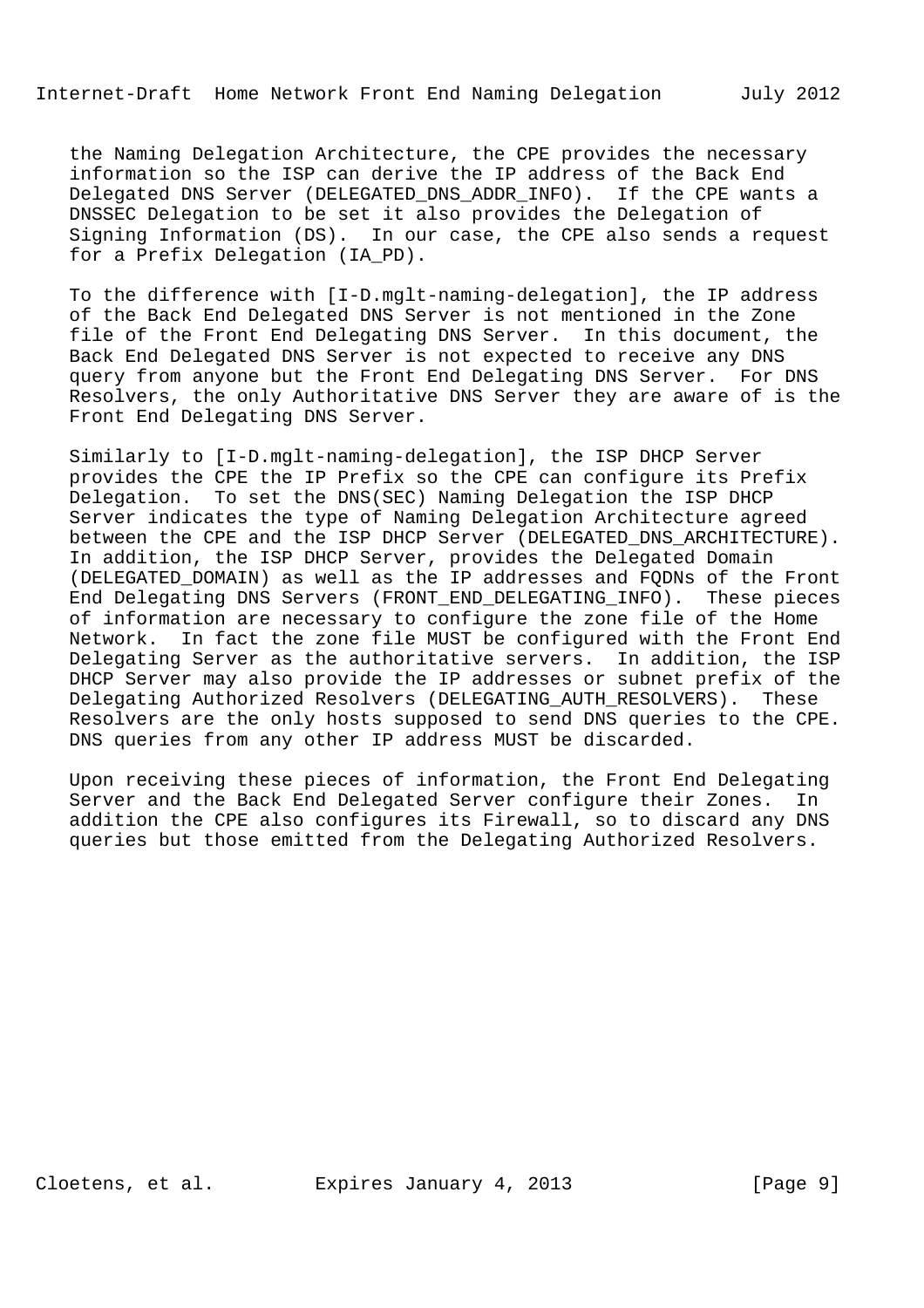the Naming Delegation Architecture, the CPE provides the necessary information so the ISP can derive the IP address of the Back End Delegated DNS Server (DELEGATED\_DNS\_ADDR\_INFO). If the CPE wants a DNSSEC Delegation to be set it also provides the Delegation of Signing Information (DS). In our case, the CPE also sends a request for a Prefix Delegation (IA\_PD).

 To the difference with [I-D.mglt-naming-delegation], the IP address of the Back End Delegated DNS Server is not mentioned in the Zone file of the Front End Delegating DNS Server. In this document, the Back End Delegated DNS Server is not expected to receive any DNS query from anyone but the Front End Delegating DNS Server. For DNS Resolvers, the only Authoritative DNS Server they are aware of is the Front End Delegating DNS Server.

 Similarly to [I-D.mglt-naming-delegation], the ISP DHCP Server provides the CPE the IP Prefix so the CPE can configure its Prefix Delegation. To set the DNS(SEC) Naming Delegation the ISP DHCP Server indicates the type of Naming Delegation Architecture agreed between the CPE and the ISP DHCP Server (DELEGATED\_DNS\_ARCHITECTURE). In addition, the ISP DHCP Server, provides the Delegated Domain (DELEGATED\_DOMAIN) as well as the IP addresses and FQDNs of the Front End Delegating DNS Servers (FRONT\_END\_DELEGATING\_INFO). These pieces of information are necessary to configure the zone file of the Home Network. In fact the zone file MUST be configured with the Front End Delegating Server as the authoritative servers. In addition, the ISP DHCP Server may also provide the IP addresses or subnet prefix of the Delegating Authorized Resolvers (DELEGATING\_AUTH\_RESOLVERS). These Resolvers are the only hosts supposed to send DNS queries to the CPE. DNS queries from any other IP address MUST be discarded.

 Upon receiving these pieces of information, the Front End Delegating Server and the Back End Delegated Server configure their Zones. In addition the CPE also configures its Firewall, so to discard any DNS queries but those emitted from the Delegating Authorized Resolvers.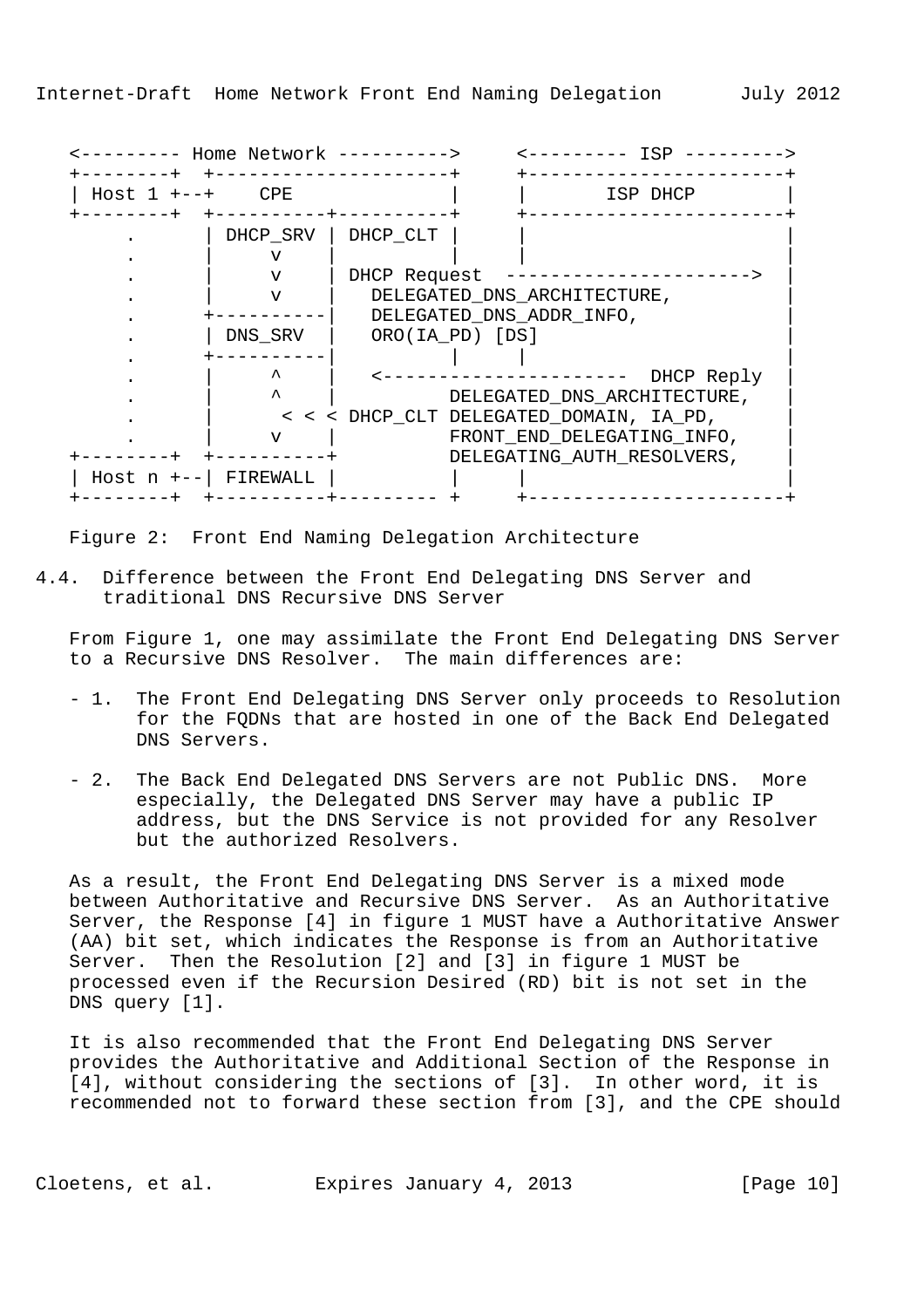|                | Host $1$ +--+ CPE | ISP DHCP                                |
|----------------|-------------------|-----------------------------------------|
|                | DHCP_SRV          | DHCP_CLT                                |
|                | ٦Z                |                                         |
|                | v                 | DHCP Request                            |
|                | $\tau$            | DELEGATED_DNS_ARCHITECTURE,             |
|                |                   | DELEGATED_DNS_ADDR_INFO,                |
|                | DNS SRV           | ORO(IA PD) [DS]                         |
|                |                   |                                         |
|                | ᄉ                 | DHCP Reply                              |
|                | ᄉ                 | DELEGATED_DNS_ARCHITECTURE,             |
|                |                   | < < < DHCP_CLT DELEGATED_DOMAIN, IA_PD, |
|                | v                 | FRONT_END_DELEGATING_INFO,              |
|                |                   | DELEGATING_AUTH_RESOLVERS,              |
| Host $n + - -$ | FIREWALL          |                                         |

Figure 2: Front End Naming Delegation Architecture

4.4. Difference between the Front End Delegating DNS Server and traditional DNS Recursive DNS Server

 From Figure 1, one may assimilate the Front End Delegating DNS Server to a Recursive DNS Resolver. The main differences are:

- 1. The Front End Delegating DNS Server only proceeds to Resolution for the FQDNs that are hosted in one of the Back End Delegated DNS Servers.
- 2. The Back End Delegated DNS Servers are not Public DNS. More especially, the Delegated DNS Server may have a public IP address, but the DNS Service is not provided for any Resolver but the authorized Resolvers.

 As a result, the Front End Delegating DNS Server is a mixed mode between Authoritative and Recursive DNS Server. As an Authoritative Server, the Response [4] in figure 1 MUST have a Authoritative Answer (AA) bit set, which indicates the Response is from an Authoritative Server. Then the Resolution [2] and [3] in figure 1 MUST be processed even if the Recursion Desired (RD) bit is not set in the DNS query [1].

 It is also recommended that the Front End Delegating DNS Server provides the Authoritative and Additional Section of the Response in [4], without considering the sections of [3]. In other word, it is recommended not to forward these section from [3], and the CPE should

Cloetens, et al. Expires January 4, 2013 [Page 10]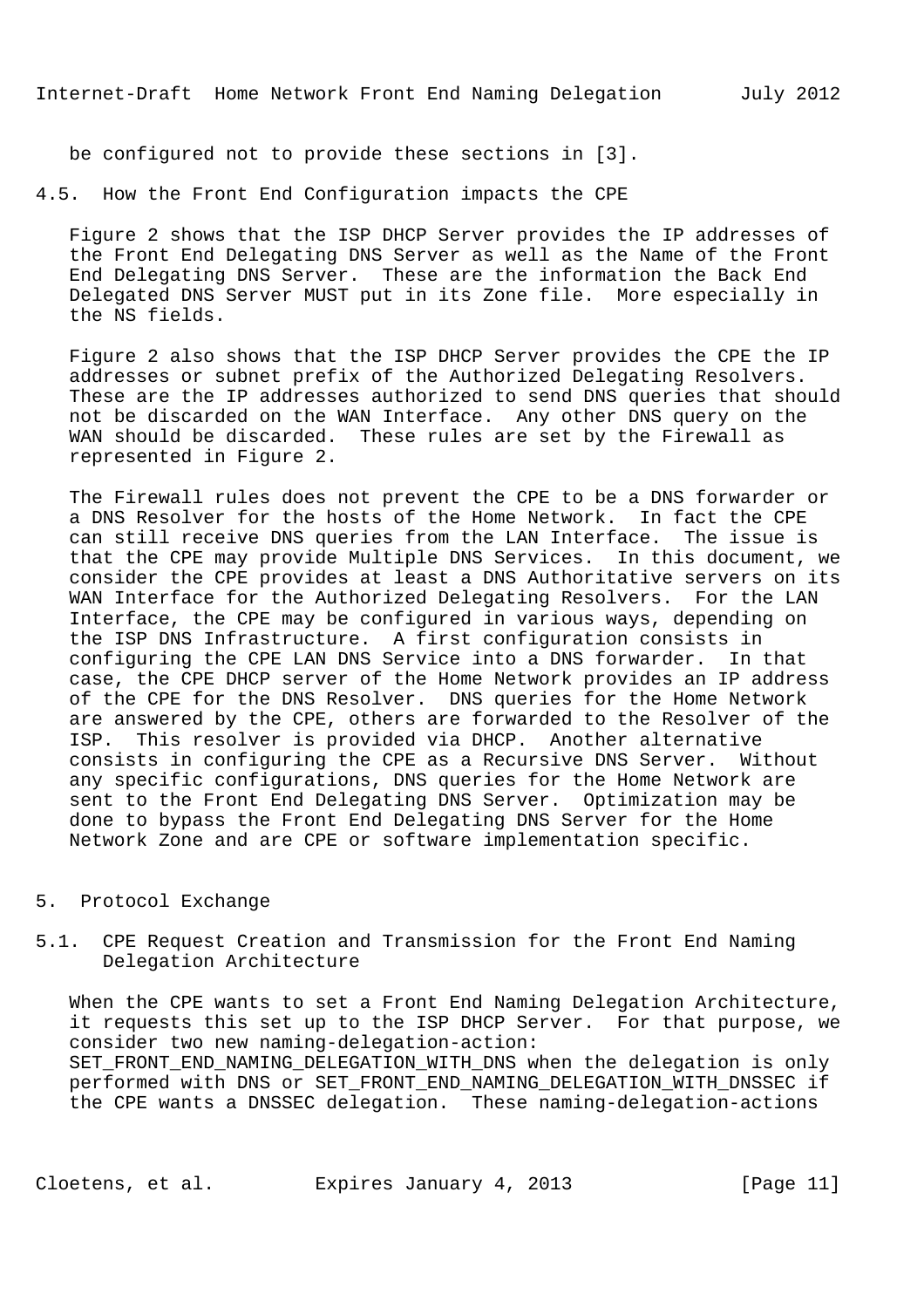be configured not to provide these sections in [3].

4.5. How the Front End Configuration impacts the CPE

 Figure 2 shows that the ISP DHCP Server provides the IP addresses of the Front End Delegating DNS Server as well as the Name of the Front End Delegating DNS Server. These are the information the Back End Delegated DNS Server MUST put in its Zone file. More especially in the NS fields.

 Figure 2 also shows that the ISP DHCP Server provides the CPE the IP addresses or subnet prefix of the Authorized Delegating Resolvers. These are the IP addresses authorized to send DNS queries that should not be discarded on the WAN Interface. Any other DNS query on the WAN should be discarded. These rules are set by the Firewall as represented in Figure 2.

 The Firewall rules does not prevent the CPE to be a DNS forwarder or a DNS Resolver for the hosts of the Home Network. In fact the CPE can still receive DNS queries from the LAN Interface. The issue is that the CPE may provide Multiple DNS Services. In this document, we consider the CPE provides at least a DNS Authoritative servers on its WAN Interface for the Authorized Delegating Resolvers. For the LAN Interface, the CPE may be configured in various ways, depending on the ISP DNS Infrastructure. A first configuration consists in configuring the CPE LAN DNS Service into a DNS forwarder. In that case, the CPE DHCP server of the Home Network provides an IP address of the CPE for the DNS Resolver. DNS queries for the Home Network are answered by the CPE, others are forwarded to the Resolver of the ISP. This resolver is provided via DHCP. Another alternative consists in configuring the CPE as a Recursive DNS Server. Without any specific configurations, DNS queries for the Home Network are sent to the Front End Delegating DNS Server. Optimization may be done to bypass the Front End Delegating DNS Server for the Home Network Zone and are CPE or software implementation specific.

## 5. Protocol Exchange

5.1. CPE Request Creation and Transmission for the Front End Naming Delegation Architecture

 When the CPE wants to set a Front End Naming Delegation Architecture, it requests this set up to the ISP DHCP Server. For that purpose, we consider two new naming-delegation-action: SET FRONT END NAMING DELEGATION WITH DNS when the delegation is only performed with DNS or SET\_FRONT\_END\_NAMING\_DELEGATION\_WITH\_DNSSEC if the CPE wants a DNSSEC delegation. These naming-delegation-actions

Cloetens, et al. Expires January 4, 2013 [Page 11]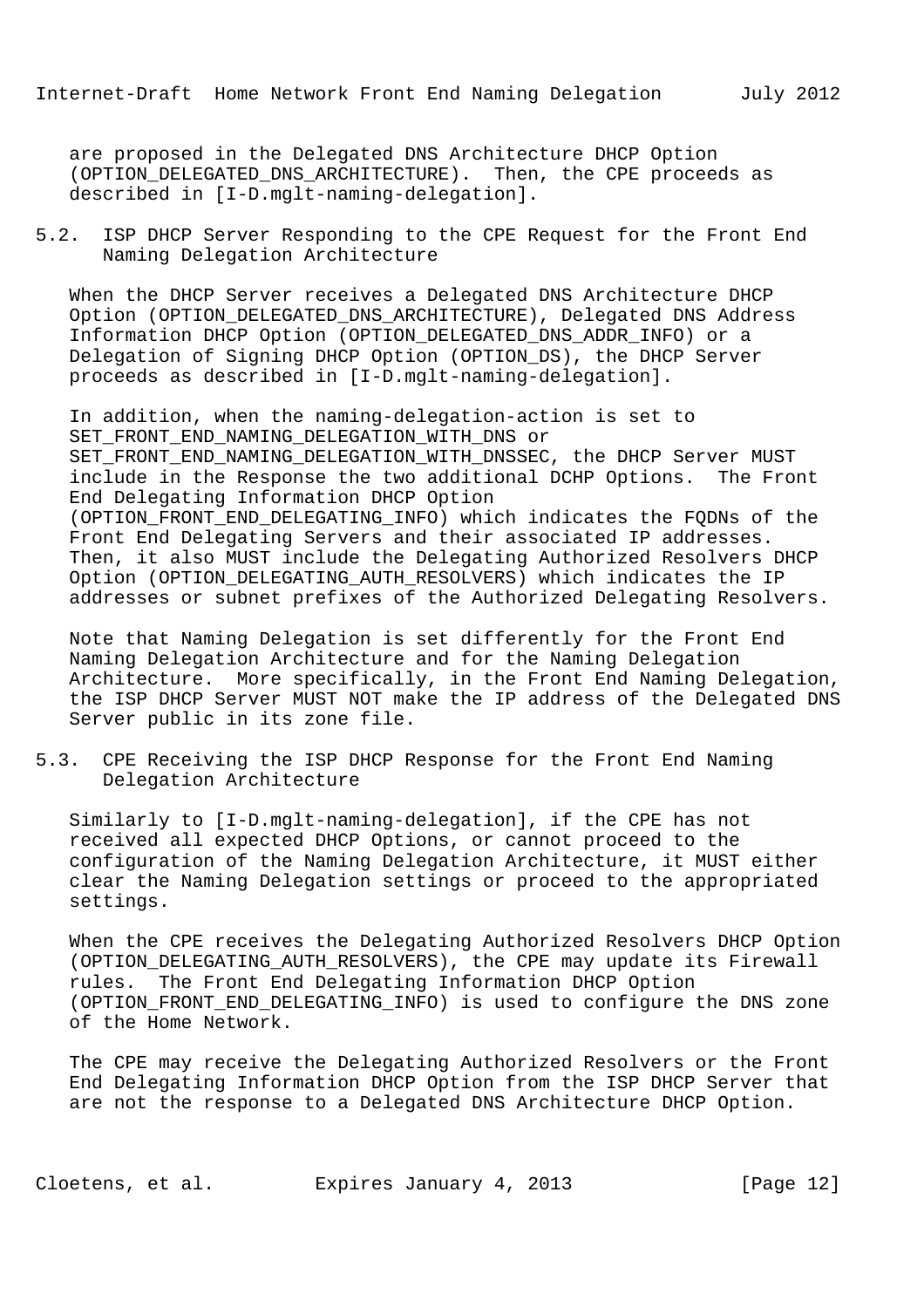are proposed in the Delegated DNS Architecture DHCP Option (OPTION\_DELEGATED\_DNS\_ARCHITECTURE). Then, the CPE proceeds as described in [I-D.mglt-naming-delegation].

5.2. ISP DHCP Server Responding to the CPE Request for the Front End Naming Delegation Architecture

 When the DHCP Server receives a Delegated DNS Architecture DHCP Option (OPTION\_DELEGATED\_DNS\_ARCHITECTURE), Delegated DNS Address Information DHCP Option (OPTION\_DELEGATED\_DNS\_ADDR\_INFO) or a Delegation of Signing DHCP Option (OPTION\_DS), the DHCP Server proceeds as described in [I-D.mglt-naming-delegation].

 In addition, when the naming-delegation-action is set to SET\_FRONT\_END\_NAMING\_DELEGATION\_WITH\_DNS or SET FRONT END NAMING DELEGATION\_WITH\_DNSSEC, the DHCP Server MUST include in the Response the two additional DCHP Options. The Front End Delegating Information DHCP Option (OPTION\_FRONT\_END\_DELEGATING\_INFO) which indicates the FQDNs of the Front End Delegating Servers and their associated IP addresses. Then, it also MUST include the Delegating Authorized Resolvers DHCP Option (OPTION DELEGATING AUTH RESOLVERS) which indicates the IP addresses or subnet prefixes of the Authorized Delegating Resolvers.

 Note that Naming Delegation is set differently for the Front End Naming Delegation Architecture and for the Naming Delegation Architecture. More specifically, in the Front End Naming Delegation, the ISP DHCP Server MUST NOT make the IP address of the Delegated DNS Server public in its zone file.

5.3. CPE Receiving the ISP DHCP Response for the Front End Naming Delegation Architecture

 Similarly to [I-D.mglt-naming-delegation], if the CPE has not received all expected DHCP Options, or cannot proceed to the configuration of the Naming Delegation Architecture, it MUST either clear the Naming Delegation settings or proceed to the appropriated settings.

 When the CPE receives the Delegating Authorized Resolvers DHCP Option (OPTION\_DELEGATING\_AUTH\_RESOLVERS), the CPE may update its Firewall rules. The Front End Delegating Information DHCP Option (OPTION\_FRONT\_END\_DELEGATING\_INFO) is used to configure the DNS zone of the Home Network.

 The CPE may receive the Delegating Authorized Resolvers or the Front End Delegating Information DHCP Option from the ISP DHCP Server that are not the response to a Delegated DNS Architecture DHCP Option.

Cloetens, et al. Expires January 4, 2013 [Page 12]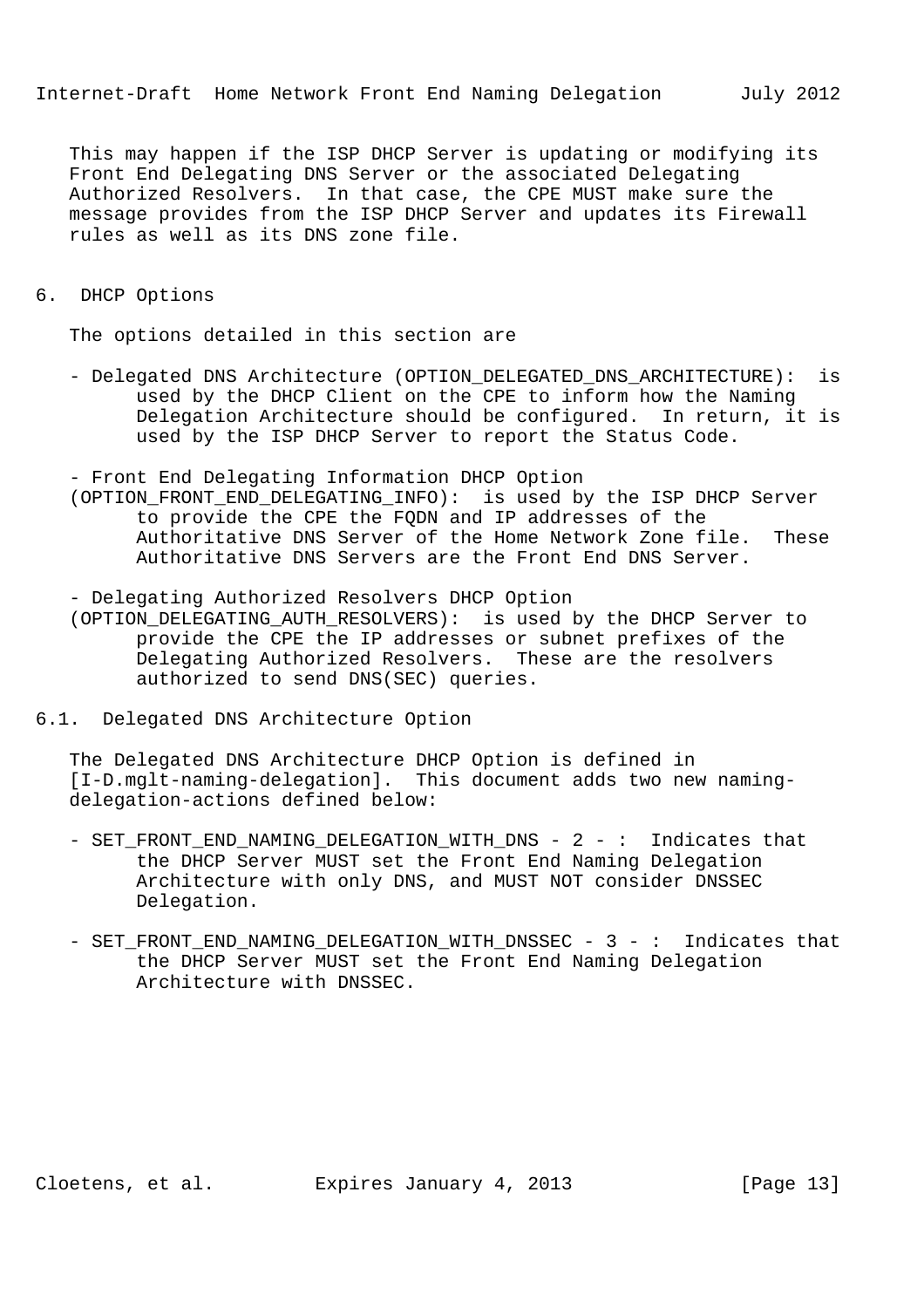This may happen if the ISP DHCP Server is updating or modifying its Front End Delegating DNS Server or the associated Delegating Authorized Resolvers. In that case, the CPE MUST make sure the message provides from the ISP DHCP Server and updates its Firewall rules as well as its DNS zone file.

6. DHCP Options

The options detailed in this section are

- Delegated DNS Architecture (OPTION\_DELEGATED\_DNS\_ARCHITECTURE): is used by the DHCP Client on the CPE to inform how the Naming Delegation Architecture should be configured. In return, it is used by the ISP DHCP Server to report the Status Code.

- Front End Delegating Information DHCP Option

 (OPTION\_FRONT\_END\_DELEGATING\_INFO): is used by the ISP DHCP Server to provide the CPE the FQDN and IP addresses of the Authoritative DNS Server of the Home Network Zone file. These Authoritative DNS Servers are the Front End DNS Server.

 - Delegating Authorized Resolvers DHCP Option (OPTION\_DELEGATING\_AUTH\_RESOLVERS): is used by the DHCP Server to provide the CPE the IP addresses or subnet prefixes of the

- Delegating Authorized Resolvers. These are the resolvers authorized to send DNS(SEC) queries.
- 6.1. Delegated DNS Architecture Option

 The Delegated DNS Architecture DHCP Option is defined in [I-D.mglt-naming-delegation]. This document adds two new naming delegation-actions defined below:

- SET FRONT END NAMING DELEGATION WITH DNS 2 : Indicates that the DHCP Server MUST set the Front End Naming Delegation Architecture with only DNS, and MUST NOT consider DNSSEC Delegation.
- SET\_FRONT\_END\_NAMING\_DELEGATION\_WITH\_DNSSEC 3 : Indicates that the DHCP Server MUST set the Front End Naming Delegation Architecture with DNSSEC.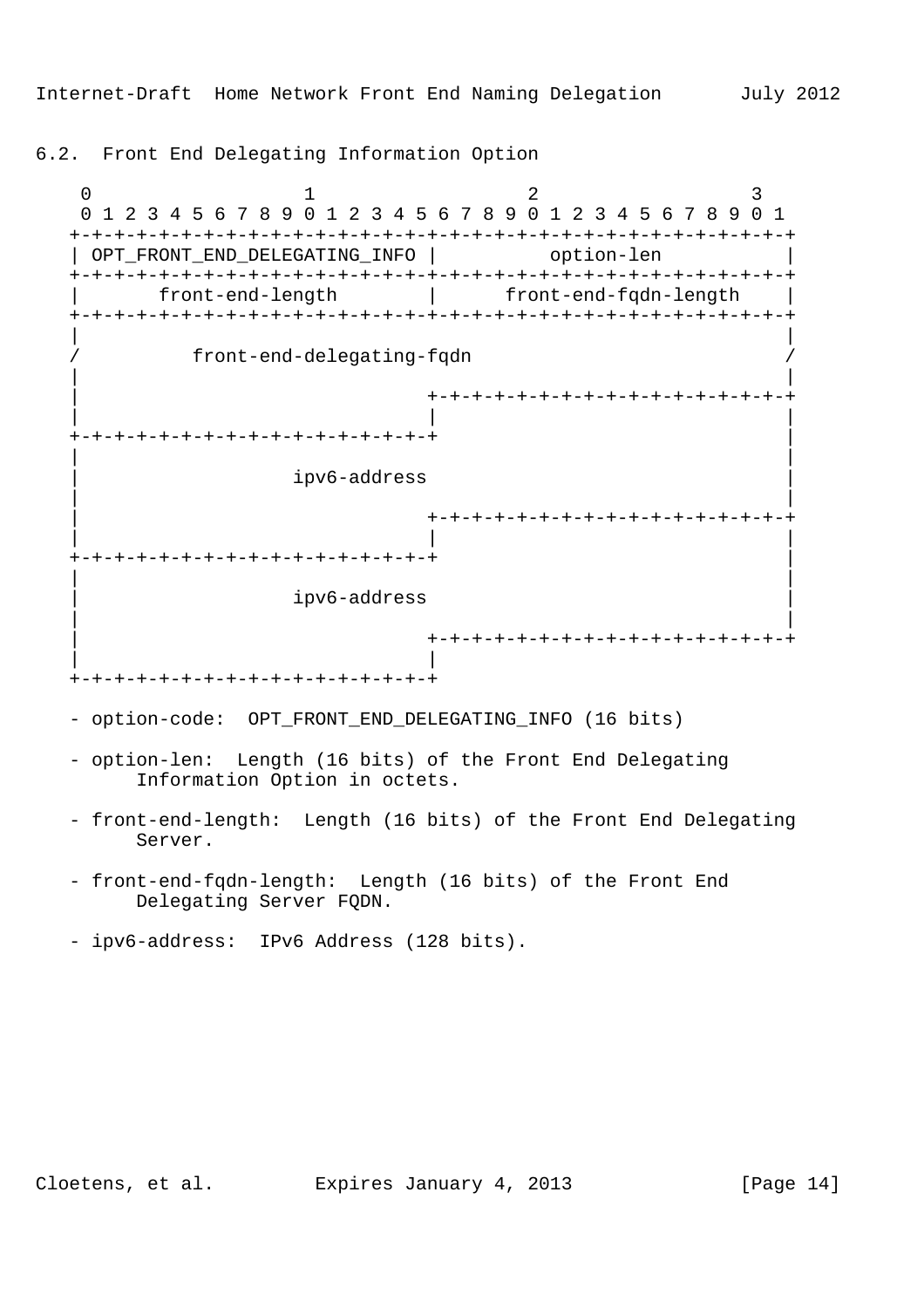6.2. Front End Delegating Information Option

0  $1$  2 3 0 1 2 3 4 5 6 7 8 9 0 1 2 3 4 5 6 7 8 9 0 1 2 3 4 5 6 7 8 9 0 1 +-+-+-+-+-+-+-+-+-+-+-+-+-+-+-+-+-+-+-+-+-+-+-+-+-+-+-+-+-+-+-+-+ | OPT\_FRONT\_END\_DELEGATING\_INFO | option-len +-+-+-+-+-+-+-+-+-+-+-+-+-+-+-+-+-+-+-+-+-+-+-+-+-+-+-+-+-+-+-+-+ | front-end-length | front-end-fqdn-length | +-+-+-+-+-+-+-+-+-+-+-+-+-+-+-+-+-+-+-+-+-+-+-+-+-+-+-+-+-+-+-+-+ | | / front-end-delegating-fqdn / | | | +-+-+-+-+-+-+-+-+-+-+-+-+-+-+-+-+ | | | +-+-+-+-+-+-+-+-+-+-+-+-+-+-+-+-+ | | | | ipv6-address | | | | +-+-+-+-+-+-+-+-+-+-+-+-+-+-+-+-+ | | | +-+-+-+-+-+-+-+-+-+-+-+-+-+-+-+-+ | | | | ipv6-address | | | | +-+-+-+-+-+-+-+-+-+-+-+-+-+-+-+-+ | | +-+-+-+-+-+-+-+-+-+-+-+-+-+-+-+-+ - option-code: OPT\_FRONT\_END\_DELEGATING\_INFO (16 bits) - option-len: Length (16 bits) of the Front End Delegating Information Option in octets. - front-end-length: Length (16 bits) of the Front End Delegating Server. - front-end-fqdn-length: Length (16 bits) of the Front End Delegating Server FQDN. - ipv6-address: IPv6 Address (128 bits).

Cloetens, et al. Expires January 4, 2013 [Page 14]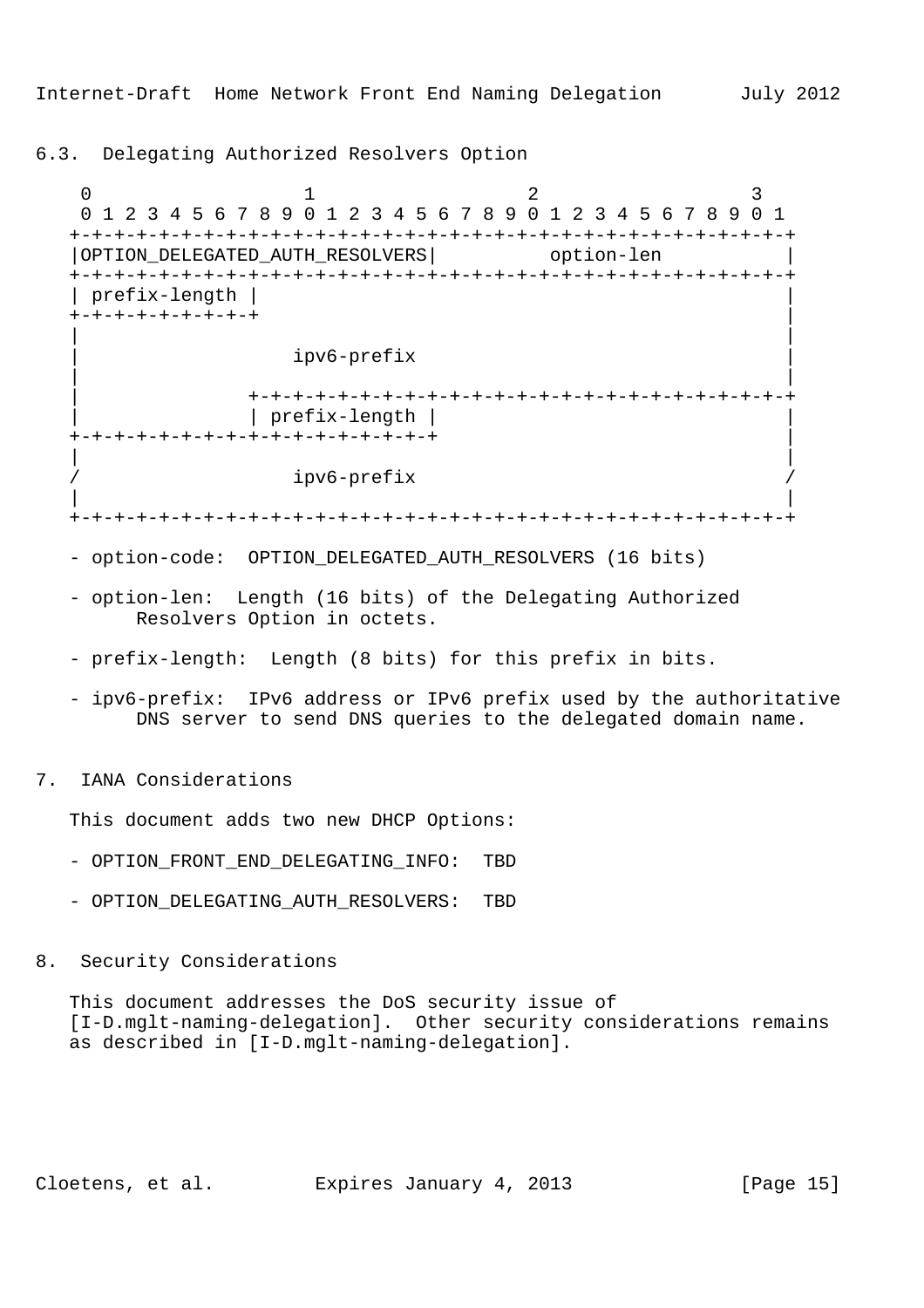# 6.3. Delegating Authorized Resolvers Option

0  $1$  2 3 0 1 2 3 4 5 6 7 8 9 0 1 2 3 4 5 6 7 8 9 0 1 2 3 4 5 6 7 8 9 0 1 +-+-+-+-+-+-+-+-+-+-+-+-+-+-+-+-+-+-+-+-+-+-+-+-+-+-+-+-+-+-+-+-+ |OPTION\_DELEGATED\_AUTH\_RESOLVERS| option-len +-+-+-+-+-+-+-+-+-+-+-+-+-+-+-+-+-+-+-+-+-+-+-+-+-+-+-+-+-+-+-+-+ | prefix-length | | +-+-+-+-+-+-+-+-+ | | | | ipv6-prefix | | | | +-+-+-+-+-+-+-+-+-+-+-+-+-+-+-+-+-+-+-+-+-+-+-+-+ | | prefix-length | | +-+-+-+-+-+-+-+-+-+-+-+-+-+-+-+-+ | | | ipv6-prefix | | +-+-+-+-+-+-+-+-+-+-+-+-+-+-+-+-+-+-+-+-+-+-+-+-+-+-+-+-+-+-+-+-+

- option-code: OPTION\_DELEGATED\_AUTH\_RESOLVERS (16 bits)
- option-len: Length (16 bits) of the Delegating Authorized Resolvers Option in octets.
- prefix-length: Length (8 bits) for this prefix in bits.
- ipv6-prefix: IPv6 address or IPv6 prefix used by the authoritative DNS server to send DNS queries to the delegated domain name.
- 7. IANA Considerations

This document adds two new DHCP Options:

- OPTION\_FRONT\_END\_DELEGATING\_INFO: TBD
- OPTION\_DELEGATING\_AUTH\_RESOLVERS: TBD
- 8. Security Considerations

 This document addresses the DoS security issue of [I-D.mglt-naming-delegation]. Other security considerations remains as described in [I-D.mglt-naming-delegation].

Cloetens, et al. Expires January 4, 2013 [Page 15]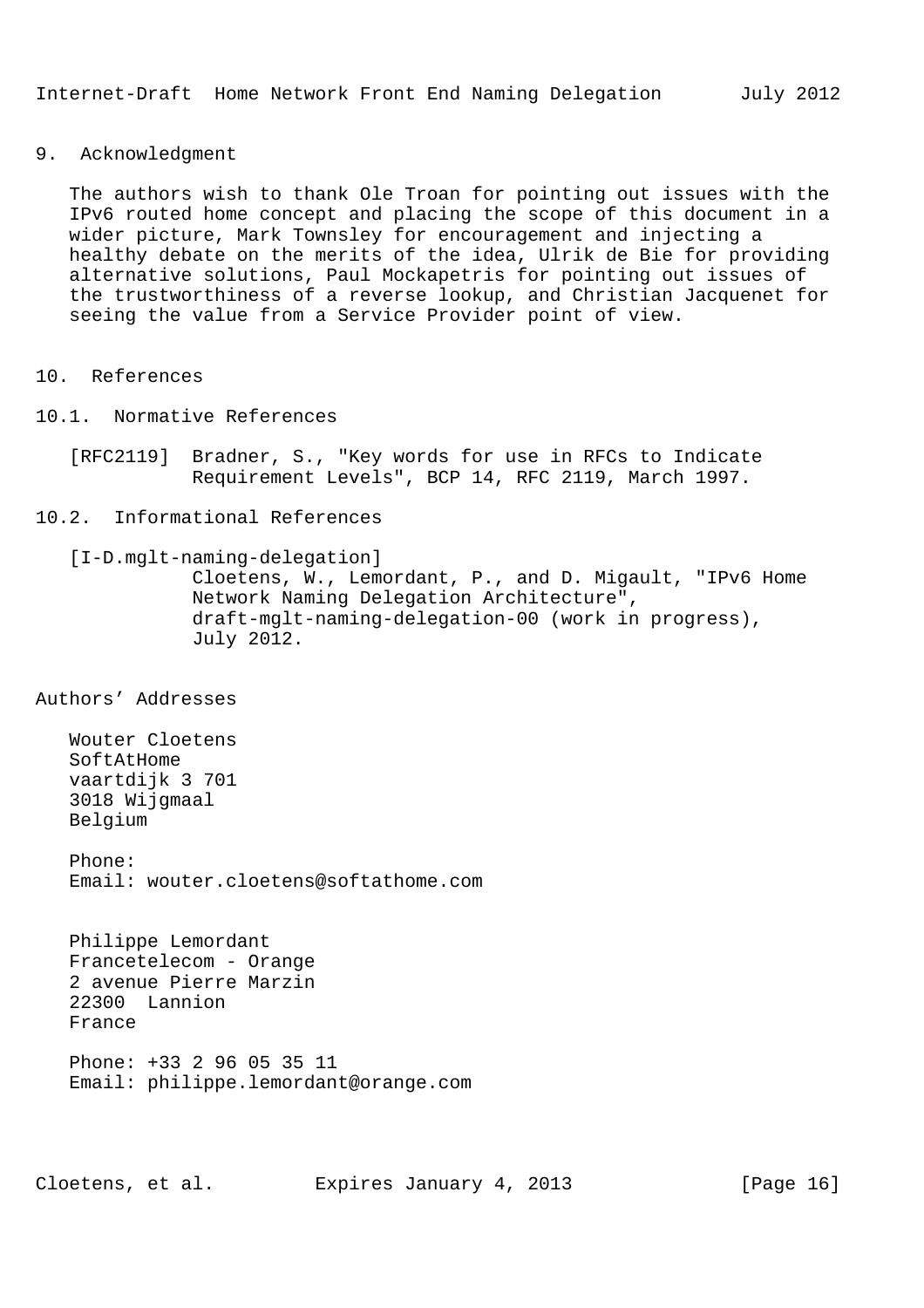## 9. Acknowledgment

 The authors wish to thank Ole Troan for pointing out issues with the IPv6 routed home concept and placing the scope of this document in a wider picture, Mark Townsley for encouragement and injecting a healthy debate on the merits of the idea, Ulrik de Bie for providing alternative solutions, Paul Mockapetris for pointing out issues of the trustworthiness of a reverse lookup, and Christian Jacquenet for seeing the value from a Service Provider point of view.

- 10. References
- 10.1. Normative References
	- [RFC2119] Bradner, S., "Key words for use in RFCs to Indicate Requirement Levels", BCP 14, RFC 2119, March 1997.

# 10.2. Informational References

 [I-D.mglt-naming-delegation] Cloetens, W., Lemordant, P., and D. Migault, "IPv6 Home Network Naming Delegation Architecture", draft-mglt-naming-delegation-00 (work in progress), July 2012.

Authors' Addresses

 Wouter Cloetens SoftAtHome vaartdijk 3 701 3018 Wijgmaal Belgium

 Phone: Email: wouter.cloetens@softathome.com

 Philippe Lemordant Francetelecom - Orange 2 avenue Pierre Marzin 22300 Lannion France Phone: +33 2 96 05 35 11

Email: philippe.lemordant@orange.com

Cloetens, et al. Expires January 4, 2013 [Page 16]